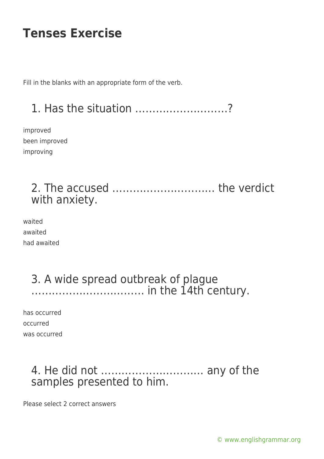Fill in the blanks with an appropriate form of the verb.

# 1. Has the situation ………………………?

improved been improved improving

## 2. The accused ………………………… the verdict with anxiety.

waited awaited had awaited

## 3. A wide spread outbreak of plague …………………………… in the 14th century.

has occurred occurred was occurred

## 4. He did not ………………………… any of the samples presented to him.

Please select 2 correct answers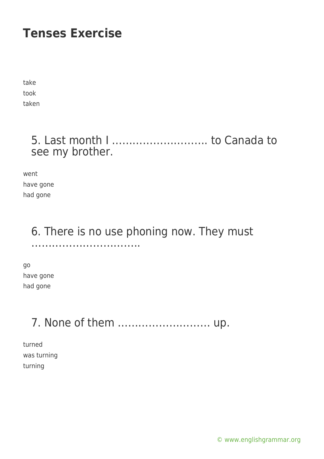take took taken

## 5. Last month I ………………………. to Canada to see my brother.

went have gone had gone

#### 6. There is no use phoning now. They must …………………………..

go have gone had gone

# 7. None of them ……………………… up.

turned was turning turning

[© www.englishgrammar.org](https://www.englishgrammar.org/)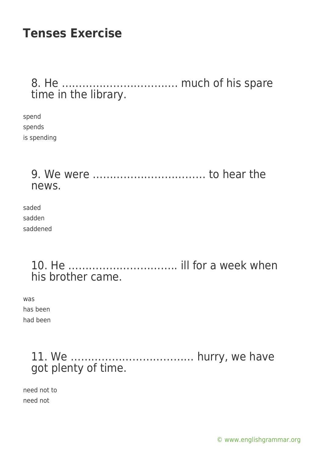## 8. He ……………………………. much of his spare time in the library.

spend spends is spending

> 9. We were …………………………… to hear the news.

saded sadden saddened

> 10. He ………………………….. ill for a week when his brother came.

was has been had been

> 11. We ……………………………… hurry, we have got plenty of time.

need not to need not